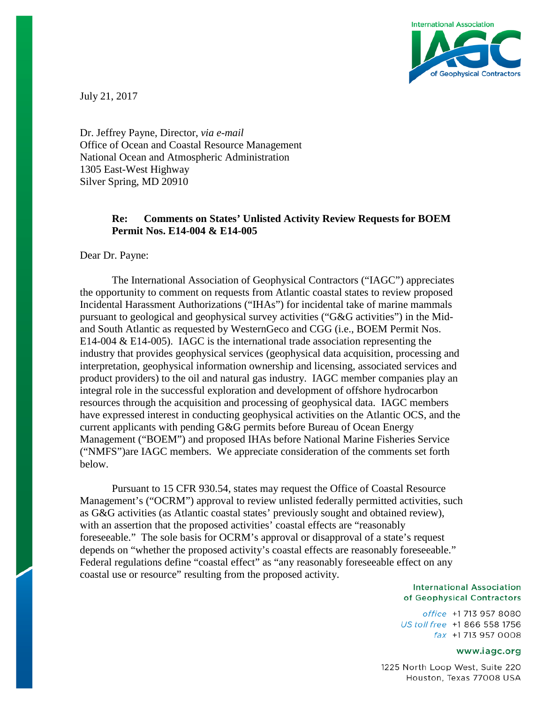

July 21, 2017

Dr. Jeffrey Payne, Director, *via e-mail* Office of Ocean and Coastal Resource Management National Ocean and Atmospheric Administration 1305 East-West Highway Silver Spring, MD 20910

# **Re: Comments on States' Unlisted Activity Review Requests for BOEM Permit Nos. E14-004 & E14-005**

Dear Dr. Payne:

The International Association of Geophysical Contractors ("IAGC") appreciates the opportunity to comment on requests from Atlantic coastal states to review proposed Incidental Harassment Authorizations ("IHAs") for incidental take of marine mammals pursuant to geological and geophysical survey activities ("G&G activities") in the Midand South Atlantic as requested by WesternGeco and CGG (i.e., BOEM Permit Nos. E14-004 & E14-005). IAGC is the international trade association representing the industry that provides geophysical services (geophysical data acquisition, processing and interpretation, geophysical information ownership and licensing, associated services and product providers) to the oil and natural gas industry. IAGC member companies play an integral role in the successful exploration and development of offshore hydrocarbon resources through the acquisition and processing of geophysical data. IAGC members have expressed interest in conducting geophysical activities on the Atlantic OCS, and the current applicants with pending G&G permits before Bureau of Ocean Energy Management ("BOEM") and proposed IHAs before National Marine Fisheries Service ("NMFS")are IAGC members. We appreciate consideration of the comments set forth below.

Pursuant to 15 CFR 930.54, states may request the Office of Coastal Resource Management's ("OCRM") approval to review unlisted federally permitted activities, such as G&G activities (as Atlantic coastal states' previously sought and obtained review), with an assertion that the proposed activities' coastal effects are "reasonably foreseeable." The sole basis for OCRM's approval or disapproval of a state's request depends on "whether the proposed activity's coastal effects are reasonably foreseeable." Federal regulations define "coastal effect" as "any reasonably foreseeable effect on any coastal use or resource" resulting from the proposed activity.

#### **International Association** of Geophysical Contractors

office +1 713 957 8080 US toll free +1 866 558 1756 fax +1713 957 0008

#### www.iagc.org

1225 North Loop West, Suite 220 Houston, Texas 77008 USA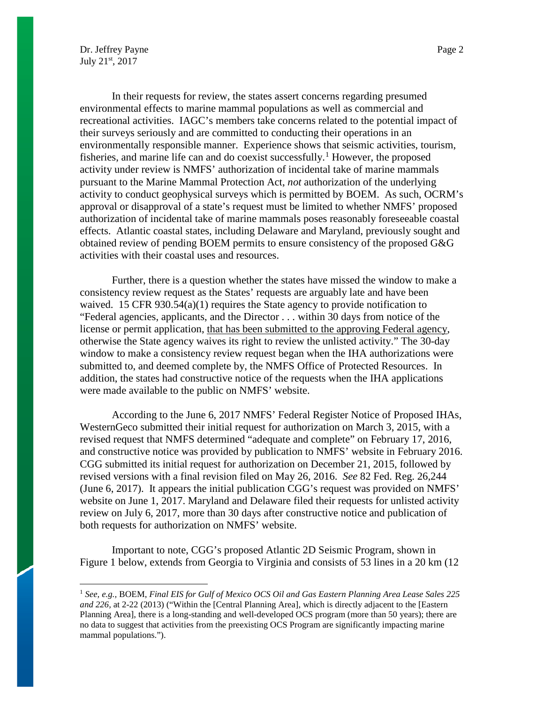In their requests for review, the states assert concerns regarding presumed environmental effects to marine mammal populations as well as commercial and recreational activities. IAGC's members take concerns related to the potential impact of their surveys seriously and are committed to conducting their operations in an environmentally responsible manner. Experience shows that seismic activities, tourism, fisheries, and marine life can and do coexist successfully.<sup>[1](#page-1-0)</sup> However, the proposed activity under review is NMFS' authorization of incidental take of marine mammals pursuant to the Marine Mammal Protection Act, *not* authorization of the underlying activity to conduct geophysical surveys which is permitted by BOEM. As such, OCRM's approval or disapproval of a state's request must be limited to whether NMFS' proposed authorization of incidental take of marine mammals poses reasonably foreseeable coastal effects. Atlantic coastal states, including Delaware and Maryland, previously sought and obtained review of pending BOEM permits to ensure consistency of the proposed G&G activities with their coastal uses and resources.

Further, there is a question whether the states have missed the window to make a consistency review request as the States' requests are arguably late and have been waived. 15 CFR 930.54(a)(1) requires the State agency to provide notification to "Federal agencies, applicants, and the Director . . . within 30 days from notice of the license or permit application, that has been submitted to the approving Federal agency, otherwise the State agency waives its right to review the unlisted activity." The 30-day window to make a consistency review request began when the IHA authorizations were submitted to, and deemed complete by, the NMFS Office of Protected Resources. In addition, the states had constructive notice of the requests when the IHA applications were made available to the public on NMFS' website.

According to the June 6, 2017 NMFS' Federal Register Notice of Proposed IHAs, WesternGeco submitted their initial request for authorization on March 3, 2015, with a revised request that NMFS determined "adequate and complete" on February 17, 2016, and constructive notice was provided by publication to NMFS' website in February 2016. CGG submitted its initial request for authorization on December 21, 2015, followed by revised versions with a final revision filed on May 26, 2016. *See* 82 Fed. Reg. 26,244 (June 6, 2017). It appears the initial publication CGG's request was provided on NMFS' website on June 1, 2017. Maryland and Delaware filed their requests for unlisted activity review on July 6, 2017, more than 30 days after constructive notice and publication of both requests for authorization on NMFS' website.

Important to note, CGG's proposed Atlantic 2D Seismic Program, shown in Figure 1 below, extends from Georgia to Virginia and consists of 53 lines in a 20 km (12

<span id="page-1-0"></span> <sup>1</sup> *See, e.g.,* BOEM, *Final EIS for Gulf of Mexico OCS Oil and Gas Eastern Planning Area Lease Sales 225 and 226,* at 2-22 (2013) ("Within the [Central Planning Area], which is directly adjacent to the [Eastern Planning Area], there is a long-standing and well-developed OCS program (more than 50 years); there are no data to suggest that activities from the preexisting OCS Program are significantly impacting marine mammal populations.").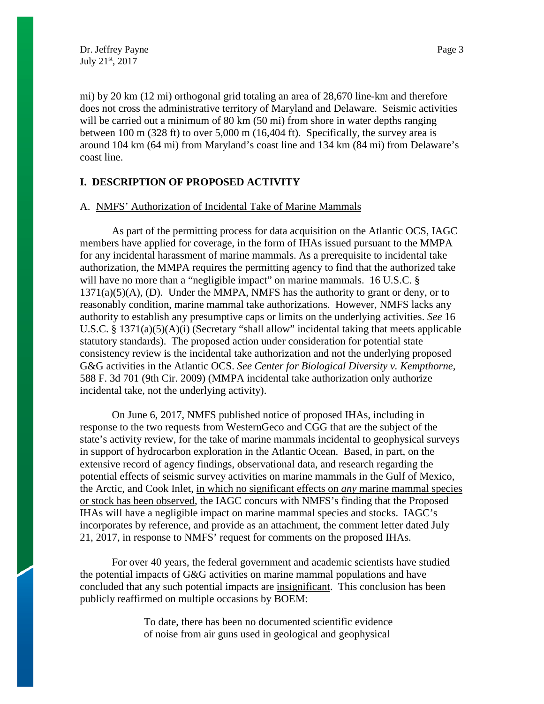mi) by 20 km (12 mi) orthogonal grid totaling an area of 28,670 line-km and therefore does not cross the administrative territory of Maryland and Delaware. Seismic activities will be carried out a minimum of 80 km (50 mi) from shore in water depths ranging between 100 m (328 ft) to over 5,000 m (16,404 ft). Specifically, the survey area is around 104 km (64 mi) from Maryland's coast line and 134 km (84 mi) from Delaware's coast line.

## **I. DESCRIPTION OF PROPOSED ACTIVITY**

#### A. NMFS' Authorization of Incidental Take of Marine Mammals

As part of the permitting process for data acquisition on the Atlantic OCS, IAGC members have applied for coverage, in the form of IHAs issued pursuant to the MMPA for any incidental harassment of marine mammals. As a prerequisite to incidental take authorization, the MMPA requires the permitting agency to find that the authorized take will have no more than a "negligible impact" on marine mammals. 16 U.S.C. §  $1371(a)(5)(A)$ , (D). Under the MMPA, NMFS has the authority to grant or deny, or to reasonably condition, marine mammal take authorizations. However, NMFS lacks any authority to establish any presumptive caps or limits on the underlying activities. *See* 16 U.S.C. § 1371(a)(5)(A)(i) (Secretary "shall allow" incidental taking that meets applicable statutory standards). The proposed action under consideration for potential state consistency review is the incidental take authorization and not the underlying proposed G&G activities in the Atlantic OCS. *See Center for Biological Diversity v. Kempthorne,*  588 F. 3d 701 (9th Cir. 2009) (MMPA incidental take authorization only authorize incidental take, not the underlying activity).

On June 6, 2017, NMFS published notice of proposed IHAs, including in response to the two requests from WesternGeco and CGG that are the subject of the state's activity review, for the take of marine mammals incidental to geophysical surveys in support of hydrocarbon exploration in the Atlantic Ocean. Based, in part, on the extensive record of agency findings, observational data, and research regarding the potential effects of seismic survey activities on marine mammals in the Gulf of Mexico, the Arctic, and Cook Inlet, in which no significant effects on *any* marine mammal species or stock has been observed, the IAGC concurs with NMFS's finding that the Proposed IHAs will have a negligible impact on marine mammal species and stocks. IAGC's incorporates by reference, and provide as an attachment, the comment letter dated July 21, 2017, in response to NMFS' request for comments on the proposed IHAs.

For over 40 years, the federal government and academic scientists have studied the potential impacts of G&G activities on marine mammal populations and have concluded that any such potential impacts are insignificant. This conclusion has been publicly reaffirmed on multiple occasions by BOEM:

> To date, there has been no documented scientific evidence of noise from air guns used in geological and geophysical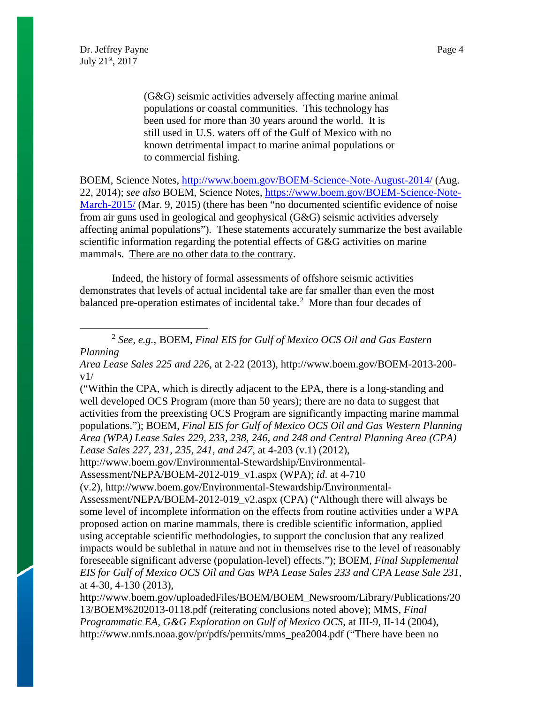(G&G) seismic activities adversely affecting marine animal populations or coastal communities. This technology has been used for more than 30 years around the world. It is still used in U.S. waters off of the Gulf of Mexico with no known detrimental impact to marine animal populations or to commercial fishing.

BOEM, Science Notes, <http://www.boem.gov/BOEM-Science-Note-August-2014/> (Aug. 22, 2014); *see also* BOEM, Science Notes, [https://www.boem.gov/BOEM-Science-Note-](https://www.boem.gov/BOEM-Science-Note-March-2015/)[March-2015/](https://www.boem.gov/BOEM-Science-Note-March-2015/) (Mar. 9, 2015) (there has been "no documented scientific evidence of noise from air guns used in geological and geophysical (G&G) seismic activities adversely affecting animal populations"). These statements accurately summarize the best available scientific information regarding the potential effects of G&G activities on marine mammals. There are no other data to the contrary.

Indeed, the history of formal assessments of offshore seismic activities demonstrates that levels of actual incidental take are far smaller than even the most balanced pre-operation estimates of incidental take.<sup>[2](#page-3-0)</sup> More than four decades of

<span id="page-3-0"></span> 2 *See, e.g.*, BOEM, *Final EIS for Gulf of Mexico OCS Oil and Gas Eastern Planning*

*Area Lease Sales 225 and 226*, at 2-22 (2013), http://www.boem.gov/BOEM-2013-200  $v1/$ 

("Within the CPA, which is directly adjacent to the EPA, there is a long-standing and well developed OCS Program (more than 50 years); there are no data to suggest that activities from the preexisting OCS Program are significantly impacting marine mammal populations."); BOEM, *Final EIS for Gulf of Mexico OCS Oil and Gas Western Planning Area (WPA) Lease Sales 229, 233, 238, 246, and 248 and Central Planning Area (CPA) Lease Sales 227, 231, 235, 241, and 247*, at 4-203 (v.1) (2012),

http://www.boem.gov/Environmental-Stewardship/Environmental-

Assessment/NEPA/BOEM-2012-019\_v1.aspx (WPA); *id*. at 4-710

(v.2), http://www.boem.gov/Environmental-Stewardship/Environmental-

Assessment/NEPA/BOEM-2012-019\_v2.aspx (CPA) ("Although there will always be some level of incomplete information on the effects from routine activities under a WPA proposed action on marine mammals, there is credible scientific information, applied using acceptable scientific methodologies, to support the conclusion that any realized impacts would be sublethal in nature and not in themselves rise to the level of reasonably foreseeable significant adverse (population-level) effects."); BOEM, *Final Supplemental EIS for Gulf of Mexico OCS Oil and Gas WPA Lease Sales 233 and CPA Lease Sale 231*, at 4-30, 4-130 (2013),

http://www.boem.gov/uploadedFiles/BOEM/BOEM\_Newsroom/Library/Publications/20 13/BOEM%202013-0118.pdf (reiterating conclusions noted above); MMS, *Final Programmatic EA, G&G Exploration on Gulf of Mexico OCS*, at III-9, II-14 (2004), http://www.nmfs.noaa.gov/pr/pdfs/permits/mms\_pea2004.pdf ("There have been no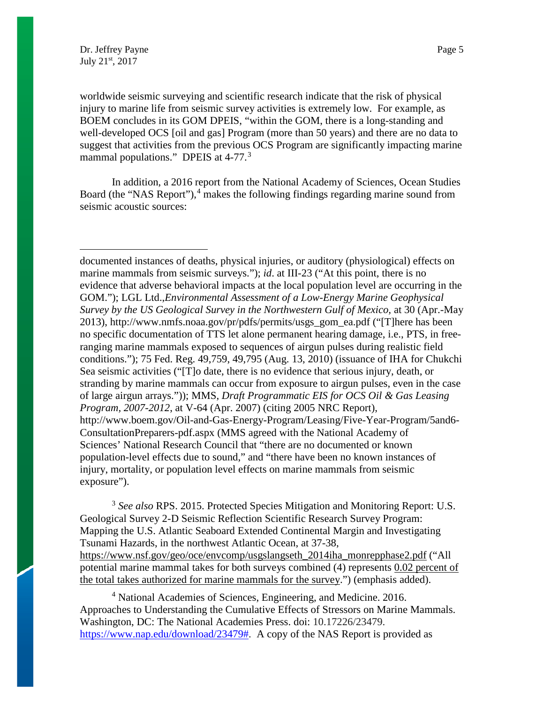$\overline{a}$ 

worldwide seismic surveying and scientific research indicate that the risk of physical injury to marine life from seismic survey activities is extremely low. For example, as BOEM concludes in its GOM DPEIS, "within the GOM, there is a long-standing and well-developed OCS [oil and gas] Program (more than 50 years) and there are no data to suggest that activities from the previous OCS Program are significantly impacting marine mammal populations." DPEIS at 4-77.<sup>[3](#page-4-0)</sup>

In addition, a 2016 report from the National Academy of Sciences, Ocean Studies Board (the "NAS Report"),<sup>[4](#page-4-1)</sup> makes the following findings regarding marine sound from seismic acoustic sources:

documented instances of deaths, physical injuries, or auditory (physiological) effects on marine mammals from seismic surveys."); *id.* at III-23 ("At this point, there is no evidence that adverse behavioral impacts at the local population level are occurring in the GOM."); LGL Ltd.,*Environmental Assessment of a Low-Energy Marine Geophysical Survey by the US Geological Survey in the Northwestern Gulf of Mexico,* at 30 (Apr.-May 2013), http://www.nmfs.noaa.gov/pr/pdfs/permits/usgs\_gom\_ea.pdf ("[T]here has been no specific documentation of TTS let alone permanent hearing damage, i.e., PTS, in freeranging marine mammals exposed to sequences of airgun pulses during realistic field conditions."); 75 Fed. Reg. 49,759, 49,795 (Aug. 13, 2010) (issuance of IHA for Chukchi Sea seismic activities ("[T]o date, there is no evidence that serious injury, death, or stranding by marine mammals can occur from exposure to airgun pulses, even in the case of large airgun arrays.")); MMS, *Draft Programmatic EIS for OCS Oil & Gas Leasing Program, 2007-2012*, at V-64 (Apr. 2007) (citing 2005 NRC Report), http://www.boem.gov/Oil-and-Gas-Energy-Program/Leasing/Five-Year-Program/5and6- ConsultationPreparers-pdf.aspx (MMS agreed with the National Academy of Sciences' National Research Council that "there are no documented or known population-level effects due to sound," and "there have been no known instances of injury, mortality, or population level effects on marine mammals from seismic exposure").

<span id="page-4-0"></span><sup>3</sup> *See also* RPS. 2015. Protected Species Mitigation and Monitoring Report: U.S. Geological Survey 2-D Seismic Reflection Scientific Research Survey Program: Mapping the U.S. Atlantic Seaboard Extended Continental Margin and Investigating Tsunami Hazards, in the northwest Atlantic Ocean, at 37-38, [https://www.nsf.gov/geo/oce/envcomp/usgslangseth\\_2014iha\\_monrepphase2.pdf](https://www.nsf.gov/geo/oce/envcomp/usgslangseth_2014iha_monrepphase2.pdf) ("All potential marine mammal takes for both surveys combined (4) represents 0.02 percent of the total takes authorized for marine mammals for the survey.") (emphasis added).

<span id="page-4-1"></span><sup>4</sup> National Academies of Sciences, Engineering, and Medicine. 2016. Approaches to Understanding the Cumulative Effects of Stressors on Marine Mammals. Washington, DC: The National Academies Press. doi: 10.17226/23479. [https://www.nap.edu/download/23479#.](https://www.nap.edu/download/23479) A copy of the NAS Report is provided as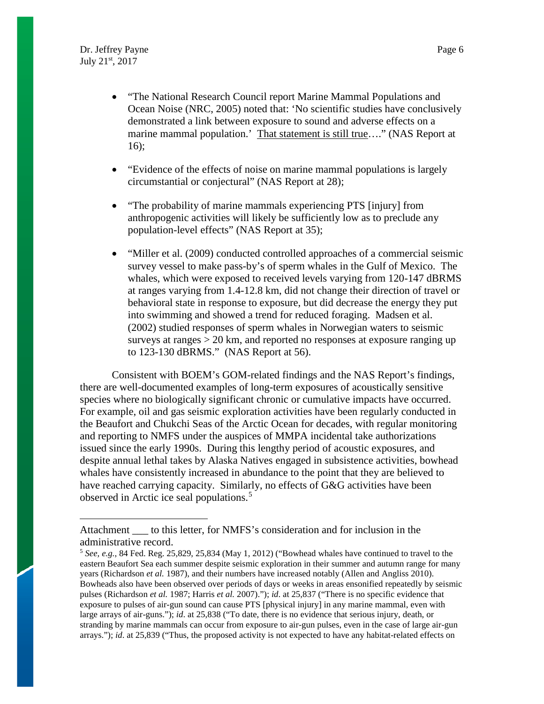$\overline{a}$ 

- "The National Research Council report Marine Mammal Populations and Ocean Noise (NRC, 2005) noted that: 'No scientific studies have conclusively demonstrated a link between exposure to sound and adverse effects on a marine mammal population.' That statement is still true...." (NAS Report at 16);
- "Evidence of the effects of noise on marine mammal populations is largely circumstantial or conjectural" (NAS Report at 28);
- "The probability of marine mammals experiencing PTS [injury] from anthropogenic activities will likely be sufficiently low as to preclude any population-level effects" (NAS Report at 35);
- "Miller et al. (2009) conducted controlled approaches of a commercial seismic survey vessel to make pass-by's of sperm whales in the Gulf of Mexico. The whales, which were exposed to received levels varying from 120-147 dBRMS at ranges varying from 1.4-12.8 km, did not change their direction of travel or behavioral state in response to exposure, but did decrease the energy they put into swimming and showed a trend for reduced foraging. Madsen et al. (2002) studied responses of sperm whales in Norwegian waters to seismic surveys at ranges > 20 km, and reported no responses at exposure ranging up to 123-130 dBRMS." (NAS Report at 56).

Consistent with BOEM's GOM-related findings and the NAS Report's findings, there are well-documented examples of long-term exposures of acoustically sensitive species where no biologically significant chronic or cumulative impacts have occurred. For example, oil and gas seismic exploration activities have been regularly conducted in the Beaufort and Chukchi Seas of the Arctic Ocean for decades, with regular monitoring and reporting to NMFS under the auspices of MMPA incidental take authorizations issued since the early 1990s. During this lengthy period of acoustic exposures, and despite annual lethal takes by Alaska Natives engaged in subsistence activities, bowhead whales have consistently increased in abundance to the point that they are believed to have reached carrying capacity. Similarly, no effects of G&G activities have been observed in Arctic ice seal populations.<sup>[5](#page-5-0)</sup>

Attachment \_\_\_ to this letter, for NMFS's consideration and for inclusion in the administrative record.

<span id="page-5-0"></span><sup>5</sup> *See, e.g.*, 84 Fed. Reg. 25,829, 25,834 (May 1, 2012) ("Bowhead whales have continued to travel to the eastern Beaufort Sea each summer despite seismic exploration in their summer and autumn range for many years (Richardson *et al.* 1987), and their numbers have increased notably (Allen and Angliss 2010). Bowheads also have been observed over periods of days or weeks in areas ensonified repeatedly by seismic pulses (Richardson *et al.* 1987; Harris *et al.* 2007)."); *id*. at 25,837 ("There is no specific evidence that exposure to pulses of air-gun sound can cause PTS [physical injury] in any marine mammal, even with large arrays of air-guns."); *id*. at 25,838 ("To date, there is no evidence that serious injury, death, or stranding by marine mammals can occur from exposure to air-gun pulses, even in the case of large air-gun arrays."); *id.* at 25,839 ("Thus, the proposed activity is not expected to have any habitat-related effects on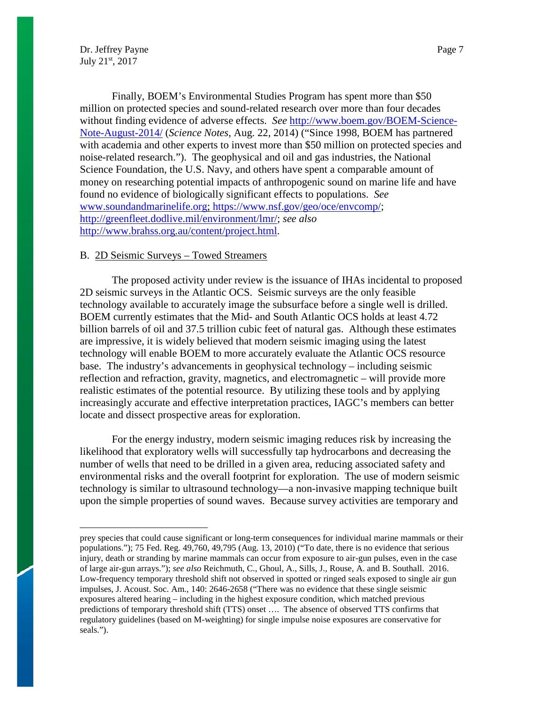$\overline{a}$ 

Finally, BOEM's Environmental Studies Program has spent more than \$50 million on protected species and sound-related research over more than four decades without finding evidence of adverse effects. *See* [http://www.boem.gov/BOEM-Science-](http://www.boem.gov/BOEM-Science-Note-August-2014/)[Note-August-2014/](http://www.boem.gov/BOEM-Science-Note-August-2014/) (*Science Notes*, Aug. 22, 2014) ("Since 1998, BOEM has partnered with academia and other experts to invest more than \$50 million on protected species and noise-related research."). The geophysical and oil and gas industries, the National Science Foundation, the U.S. Navy, and others have spent a comparable amount of money on researching potential impacts of anthropogenic sound on marine life and have found no evidence of biologically significant effects to populations. *See* [www.soundandmarinelife.org;](http://www.soundandmarinelife.org/) [https://www.nsf.gov/geo/oce/envcomp/;](https://www.nsf.gov/geo/oce/envcomp/) [http://greenfleet.dodlive.mil/environment/lmr/;](http://greenfleet.dodlive.mil/environment/lmr/) *see also*  [http://www.brahss.org.au/content/project.html.](http://www.brahss.org.au/content/project.html)

#### B. 2D Seismic Surveys – Towed Streamers

The proposed activity under review is the issuance of IHAs incidental to proposed 2D seismic surveys in the Atlantic OCS. Seismic surveys are the only feasible technology available to accurately image the subsurface before a single well is drilled. BOEM currently estimates that the Mid- and South Atlantic OCS holds at least 4.72 billion barrels of oil and 37.5 trillion cubic feet of natural gas. Although these estimates are impressive, it is widely believed that modern seismic imaging using the latest technology will enable BOEM to more accurately evaluate the Atlantic OCS resource base. The industry's advancements in geophysical technology – including seismic reflection and refraction, gravity, magnetics, and electromagnetic – will provide more realistic estimates of the potential resource. By utilizing these tools and by applying increasingly accurate and effective interpretation practices, IAGC's members can better locate and dissect prospective areas for exploration.

For the energy industry, modern seismic imaging reduces risk by increasing the likelihood that exploratory wells will successfully tap hydrocarbons and decreasing the number of wells that need to be drilled in a given area, reducing associated safety and environmental risks and the overall footprint for exploration. The use of modern seismic technology is similar to ultrasound technology—a non-invasive mapping technique built upon the simple properties of sound waves. Because survey activities are temporary and

prey species that could cause significant or long-term consequences for individual marine mammals or their populations."); 75 Fed. Reg. 49,760, 49,795 (Aug. 13, 2010) ("To date, there is no evidence that serious injury, death or stranding by marine mammals can occur from exposure to air-gun pulses, even in the case of large air-gun arrays."); *see also* Reichmuth, C., Ghoul, A., Sills, J., Rouse, A. and B. Southall. 2016. Low-frequency temporary threshold shift not observed in spotted or ringed seals exposed to single air gun impulses, J. Acoust. Soc. Am., 140: 2646-2658 ("There was no evidence that these single seismic exposures altered hearing – including in the highest exposure condition, which matched previous predictions of temporary threshold shift (TTS) onset …. The absence of observed TTS confirms that regulatory guidelines (based on M-weighting) for single impulse noise exposures are conservative for seals.").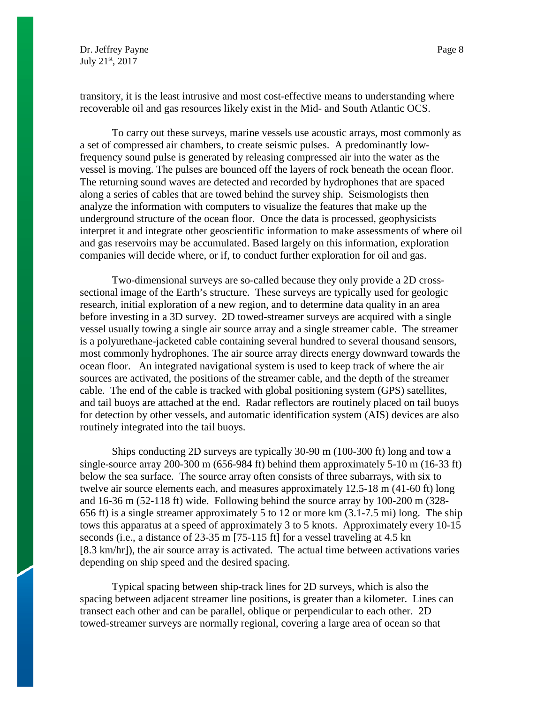transitory, it is the least intrusive and most cost-effective means to understanding where recoverable oil and gas resources likely exist in the Mid- and South Atlantic OCS.

To carry out these surveys, marine vessels use acoustic arrays, most commonly as a set of compressed air chambers, to create seismic pulses. A predominantly lowfrequency sound pulse is generated by releasing compressed air into the water as the vessel is moving. The pulses are bounced off the layers of rock beneath the ocean floor. The returning sound waves are detected and recorded by hydrophones that are spaced along a series of cables that are towed behind the survey ship. Seismologists then analyze the information with computers to visualize the features that make up the underground structure of the ocean floor. Once the data is processed, geophysicists interpret it and integrate other geoscientific information to make assessments of where oil and gas reservoirs may be accumulated. Based largely on this information, exploration companies will decide where, or if, to conduct further exploration for oil and gas.

Two-dimensional surveys are so-called because they only provide a 2D crosssectional image of the Earth's structure. These surveys are typically used for geologic research, initial exploration of a new region, and to determine data quality in an area before investing in a 3D survey. 2D towed-streamer surveys are acquired with a single vessel usually towing a single air source array and a single streamer cable. The streamer is a polyurethane-jacketed cable containing several hundred to several thousand sensors, most commonly hydrophones. The air source array directs energy downward towards the ocean floor. An integrated navigational system is used to keep track of where the air sources are activated, the positions of the streamer cable, and the depth of the streamer cable. The end of the cable is tracked with global positioning system (GPS) satellites, and tail buoys are attached at the end. Radar reflectors are routinely placed on tail buoys for detection by other vessels, and automatic identification system (AIS) devices are also routinely integrated into the tail buoys.

Ships conducting 2D surveys are typically 30-90 m (100-300 ft) long and tow a single-source array 200-300 m (656-984 ft) behind them approximately 5-10 m (16-33 ft) below the sea surface. The source array often consists of three subarrays, with six to twelve air source elements each, and measures approximately 12.5-18 m (41-60 ft) long and 16-36 m (52-118 ft) wide. Following behind the source array by 100-200 m (328- 656 ft) is a single streamer approximately 5 to 12 or more km (3.1-7.5 mi) long. The ship tows this apparatus at a speed of approximately 3 to 5 knots. Approximately every 10-15 seconds (i.e., a distance of 23-35 m [75-115 ft] for a vessel traveling at 4.5 kn [8.3 km/hr]), the air source array is activated. The actual time between activations varies depending on ship speed and the desired spacing.

Typical spacing between ship-track lines for 2D surveys, which is also the spacing between adjacent streamer line positions, is greater than a kilometer. Lines can transect each other and can be parallel, oblique or perpendicular to each other. 2D towed-streamer surveys are normally regional, covering a large area of ocean so that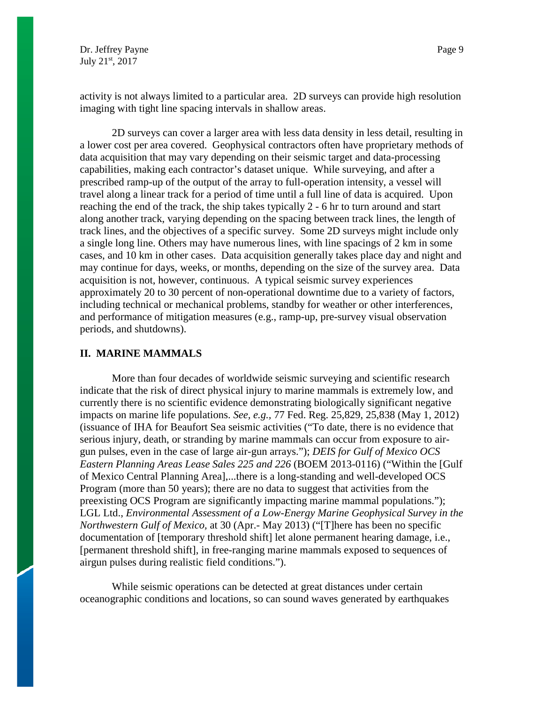activity is not always limited to a particular area. 2D surveys can provide high resolution imaging with tight line spacing intervals in shallow areas.

2D surveys can cover a larger area with less data density in less detail, resulting in a lower cost per area covered. Geophysical contractors often have proprietary methods of data acquisition that may vary depending on their seismic target and data-processing capabilities, making each contractor's dataset unique. While surveying, and after a prescribed ramp-up of the output of the array to full-operation intensity, a vessel will travel along a linear track for a period of time until a full line of data is acquired. Upon reaching the end of the track, the ship takes typically 2 - 6 hr to turn around and start along another track, varying depending on the spacing between track lines, the length of track lines, and the objectives of a specific survey. Some 2D surveys might include only a single long line. Others may have numerous lines, with line spacings of 2 km in some cases, and 10 km in other cases. Data acquisition generally takes place day and night and may continue for days, weeks, or months, depending on the size of the survey area. Data acquisition is not, however, continuous. A typical seismic survey experiences approximately 20 to 30 percent of non-operational downtime due to a variety of factors, including technical or mechanical problems, standby for weather or other interferences, and performance of mitigation measures (e.g., ramp-up, pre-survey visual observation periods, and shutdowns).

## **II. MARINE MAMMALS**

More than four decades of worldwide seismic surveying and scientific research indicate that the risk of direct physical injury to marine mammals is extremely low, and currently there is no scientific evidence demonstrating biologically significant negative impacts on marine life populations. *See, e.g.,* 77 Fed. Reg. 25,829, 25,838 (May 1, 2012) (issuance of IHA for Beaufort Sea seismic activities ("To date, there is no evidence that serious injury, death, or stranding by marine mammals can occur from exposure to airgun pulses, even in the case of large air-gun arrays."); *DEIS for Gulf of Mexico OCS Eastern Planning Areas Lease Sales 225 and 226* (BOEM 2013-0116) ("Within the [Gulf of Mexico Central Planning Area],...there is a long-standing and well-developed OCS Program (more than 50 years); there are no data to suggest that activities from the preexisting OCS Program are significantly impacting marine mammal populations."); LGL Ltd., *Environmental Assessment of a Low-Energy Marine Geophysical Survey in the Northwestern Gulf of Mexico,* at 30 (Apr.- May 2013) ("[T]here has been no specific documentation of [temporary threshold shift] let alone permanent hearing damage, i.e., [permanent threshold shift], in free-ranging marine mammals exposed to sequences of airgun pulses during realistic field conditions.").

While seismic operations can be detected at great distances under certain oceanographic conditions and locations, so can sound waves generated by earthquakes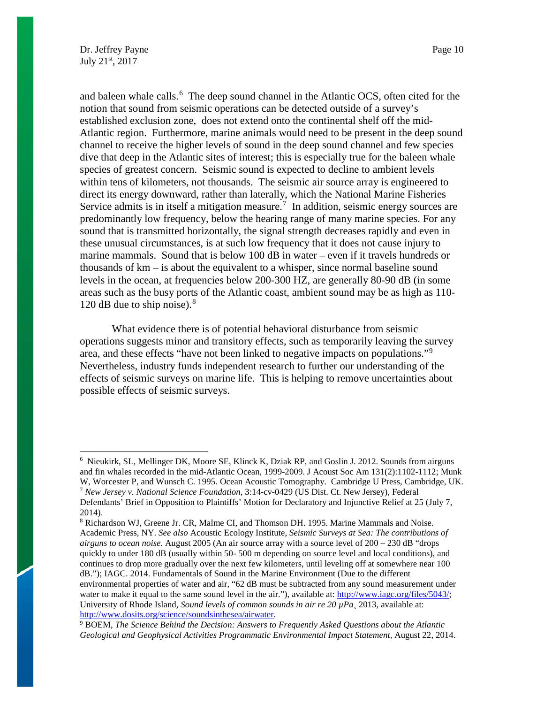and baleen whale calls.<sup>[6](#page-9-0)</sup> The deep sound channel in the Atlantic OCS, often cited for the notion that sound from seismic operations can be detected outside of a survey's established exclusion zone, does not extend onto the continental shelf off the mid-Atlantic region. Furthermore, marine animals would need to be present in the deep sound channel to receive the higher levels of sound in the deep sound channel and few species dive that deep in the Atlantic sites of interest; this is especially true for the baleen whale species of greatest concern. Seismic sound is expected to decline to ambient levels within tens of kilometers, not thousands. The seismic air source array is engineered to direct its energy downward, rather than laterally, which the National Marine Fisheries Service admits is in itself a mitigation measure.<sup>[7](#page-9-1)</sup> In addition, seismic energy sources are predominantly low frequency, below the hearing range of many marine species. For any sound that is transmitted horizontally, the signal strength decreases rapidly and even in these unusual circumstances, is at such low frequency that it does not cause injury to marine mammals. Sound that is below 100 dB in water – even if it travels hundreds or thousands of km – is about the equivalent to a whisper, since normal baseline sound levels in the ocean, at frequencies below 200-300 HZ, are generally 80-90 dB (in some areas such as the busy ports of the Atlantic coast, ambient sound may be as high as 110- 120 dB due to ship noise).<sup>[8](#page-9-2)</sup>

What evidence there is of potential behavioral disturbance from seismic operations suggests minor and transitory effects, such as temporarily leaving the survey area, and these effects "have not been linked to negative impacts on populations."[9](#page-9-3) Nevertheless, industry funds independent research to further our understanding of the effects of seismic surveys on marine life. This is helping to remove uncertainties about possible effects of seismic surveys.

<span id="page-9-0"></span> $\frac{1}{6}$  $6$  Nieukirk, SL, Mellinger DK, Moore SE, Klinck K, Dziak RP, and Goslin J. 2012. Sounds from airguns and fin whales recorded in the mid-Atlantic Ocean, 1999-2009. J Acoust Soc Am 131(2):1102-1112; Munk W, Worcester P, and Wunsch C. 1995. Ocean Acoustic Tomography. Cambridge U Press, Cambridge, UK. <sup>7</sup> *New Jersey v. National Science Foundation*, 3:14-cv-0429 (US Dist. Ct. New Jersey), Federal Defendants' Brief in Opposition to Plaintiffs' Motion for Declaratory and Injunctive Relief at 25 (July 7,

<span id="page-9-2"></span><span id="page-9-1"></span><sup>2014).</sup> 

<sup>8</sup> Richardson WJ, Greene Jr. CR, Malme CI, and Thomson DH. 1995. Marine Mammals and Noise. Academic Press, NY. *See also* Acoustic Ecology Institute, *Seismic Surveys at Sea: The contributions of airguns to ocean noise.* August 2005 (An air source array with a source level of 200 – 230 dB "drops quickly to under 180 dB (usually within 50- 500 m depending on source level and local conditions), and continues to drop more gradually over the next few kilometers, until leveling off at somewhere near 100 dB."); IAGC. 2014. Fundamentals of Sound in the Marine Environment (Due to the different environmental properties of water and air, "62 dB must be subtracted from any sound measurement under water to make it equal to the same sound level in the air."), available at[: http://www.iagc.org/files/5043/;](http://www.iagc.org/files/5043/) University of Rhode Island, *Sound levels of common sounds in air re 20 µPa¸* 2013, available at: [http://www.dosits.org/science/soundsinthesea/airwater.](http://www.dosits.org/science/soundsinthesea/airwater) 9 BOEM, *The Science Behind the Decision: Answers to Frequently Asked Questions about the Atlantic* 

<span id="page-9-3"></span>Geological and Geophysical Activities Programmatic Environmental Impact Statement, August 22, 2014.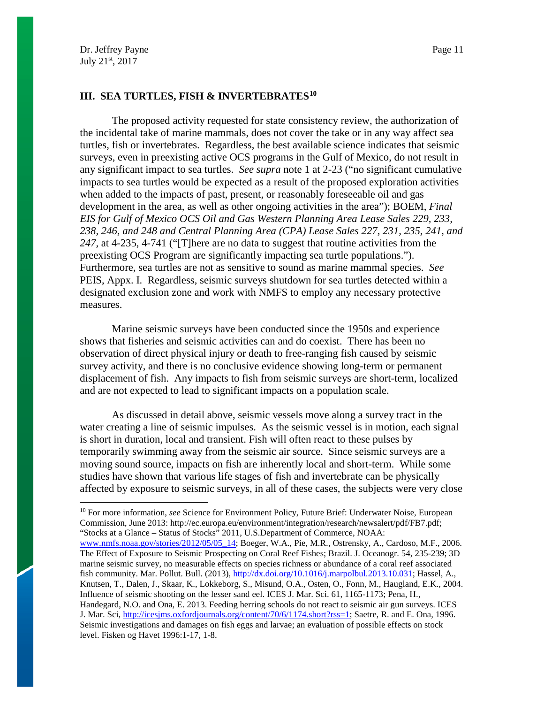# **III. SEA TURTLES, FISH & INVERTEBRATE[S10](#page-10-0)**

The proposed activity requested for state consistency review, the authorization of the incidental take of marine mammals, does not cover the take or in any way affect sea turtles, fish or invertebrates. Regardless, the best available science indicates that seismic surveys, even in preexisting active OCS programs in the Gulf of Mexico, do not result in any significant impact to sea turtles. *See supra* note 1 at 2-23 ("no significant cumulative impacts to sea turtles would be expected as a result of the proposed exploration activities when added to the impacts of past, present, or reasonably foreseeable oil and gas development in the area, as well as other ongoing activities in the area"); BOEM, *Final EIS for Gulf of Mexico OCS Oil and Gas Western Planning Area Lease Sales 229, 233, 238, 246, and 248 and Central Planning Area (CPA) Lease Sales 227, 231, 235, 241, and 247,* at 4-235, 4-741 ("[T]here are no data to suggest that routine activities from the preexisting OCS Program are significantly impacting sea turtle populations."). Furthermore, sea turtles are not as sensitive to sound as marine mammal species. *See*  PEIS, Appx. I. Regardless, seismic surveys shutdown for sea turtles detected within a designated exclusion zone and work with NMFS to employ any necessary protective measures.

Marine seismic surveys have been conducted since the 1950s and experience shows that fisheries and seismic activities can and do coexist. There has been no observation of direct physical injury or death to free-ranging fish caused by seismic survey activity, and there is no conclusive evidence showing long-term or permanent displacement of fish. Any impacts to fish from seismic surveys are short-term, localized and are not expected to lead to significant impacts on a population scale.

As discussed in detail above, seismic vessels move along a survey tract in the water creating a line of seismic impulses. As the seismic vessel is in motion, each signal is short in duration, local and transient. Fish will often react to these pulses by temporarily swimming away from the seismic air source. Since seismic surveys are a moving sound source, impacts on fish are inherently local and short-term. While some studies have shown that various life stages of fish and invertebrate can be physically affected by exposure to seismic surveys, in all of these cases, the subjects were very close

<span id="page-10-0"></span><sup>&</sup>lt;sup>10</sup> For more information, *see* Science for Environment Policy, Future Brief: Underwater Noise, European Commission, June 2013: http://ec.europa.eu/environment/integration/research/newsalert/pdf/FB7.pdf; "Stocks at a Glance – Status of Stocks" 2011, U.S.Department of Commerce, NOAA:

[www.nmfs.noaa.gov/stories/2012/05/05\\_14;](http://www.nmfs.noaa.gov/stories/2012/05/05_14) Boeger, W.A., Pie, M.R., Ostrensky, A., Cardoso, M.F., 2006. The Effect of Exposure to Seismic Prospecting on Coral Reef Fishes; Brazil. J. Oceanogr. 54, 235-239; 3D marine seismic survey, no measurable effects on species richness or abundance of a coral reef associated fish community. Mar. Pollut. Bull. (2013), [http://dx.doi.org/10.1016/j.marpolbul.2013.10.031;](http://dx.doi.org/10.1016/j.marpolbul.2013.10.031) Hassel, A., Knutsen, T., Dalen, J., Skaar, K., Lokkeborg, S., Misund, O.A., Osten, O., Fonn, M., Haugland, E.K., 2004. Influence of seismic shooting on the lesser sand eel. ICES J. Mar. Sci. 61, 1165-1173; Pena, H., Handegard, N.O. and Ona, E. 2013. Feeding herring schools do not react to seismic air gun surveys. ICES J. Mar. Sci, [http://icesjms.oxfordjournals.org/content/70/6/1174.short?rss=1;](http://icesjms.oxfordjournals.org/content/70/6/1174.short?rss=1) Saetre, R. and E. Ona, 1996. Seismic investigations and damages on fish eggs and larvae; an evaluation of possible effects on stock level. Fisken og Havet 1996:1-17, 1-8.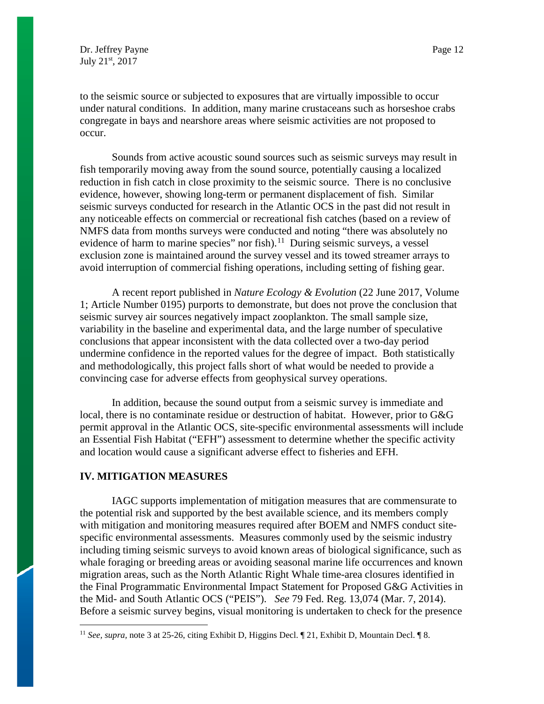to the seismic source or subjected to exposures that are virtually impossible to occur under natural conditions. In addition, many marine crustaceans such as horseshoe crabs congregate in bays and nearshore areas where seismic activities are not proposed to occur.

Sounds from active acoustic sound sources such as seismic surveys may result in fish temporarily moving away from the sound source, potentially causing a localized reduction in fish catch in close proximity to the seismic source. There is no conclusive evidence, however, showing long-term or permanent displacement of fish. Similar seismic surveys conducted for research in the Atlantic OCS in the past did not result in any noticeable effects on commercial or recreational fish catches (based on a review of NMFS data from months surveys were conducted and noting "there was absolutely no evidence of harm to marine species" nor fish).<sup>11</sup> During seismic surveys, a vessel exclusion zone is maintained around the survey vessel and its towed streamer arrays to avoid interruption of commercial fishing operations, including setting of fishing gear.

A recent report published in *Nature Ecology & Evolution* (22 June 2017, Volume 1; Article Number 0195) purports to demonstrate, but does not prove the conclusion that seismic survey air sources negatively impact zooplankton. The small sample size, variability in the baseline and experimental data, and the large number of speculative conclusions that appear inconsistent with the data collected over a two-day period undermine confidence in the reported values for the degree of impact. Both statistically and methodologically, this project falls short of what would be needed to provide a convincing case for adverse effects from geophysical survey operations.

In addition, because the sound output from a seismic survey is immediate and local, there is no contaminate residue or destruction of habitat. However, prior to G&G permit approval in the Atlantic OCS, site-specific environmental assessments will include an Essential Fish Habitat ("EFH") assessment to determine whether the specific activity and location would cause a significant adverse effect to fisheries and EFH.

## **IV. MITIGATION MEASURES**

IAGC supports implementation of mitigation measures that are commensurate to the potential risk and supported by the best available science, and its members comply with mitigation and monitoring measures required after BOEM and NMFS conduct sitespecific environmental assessments. Measures commonly used by the seismic industry including timing seismic surveys to avoid known areas of biological significance, such as whale foraging or breeding areas or avoiding seasonal marine life occurrences and known migration areas, such as the North Atlantic Right Whale time-area closures identified in the Final Programmatic Environmental Impact Statement for Proposed G&G Activities in the Mid- and South Atlantic OCS ("PEIS"). *See* 79 Fed. Reg. 13,074 (Mar. 7, 2014). Before a seismic survey begins, visual monitoring is undertaken to check for the presence

<span id="page-11-0"></span> <sup>11</sup> *See, supra,* note 3 at 25-26, citing Exhibit D*,* Higgins Decl. ¶ 21, Exhibit D, Mountain Decl. ¶ 8.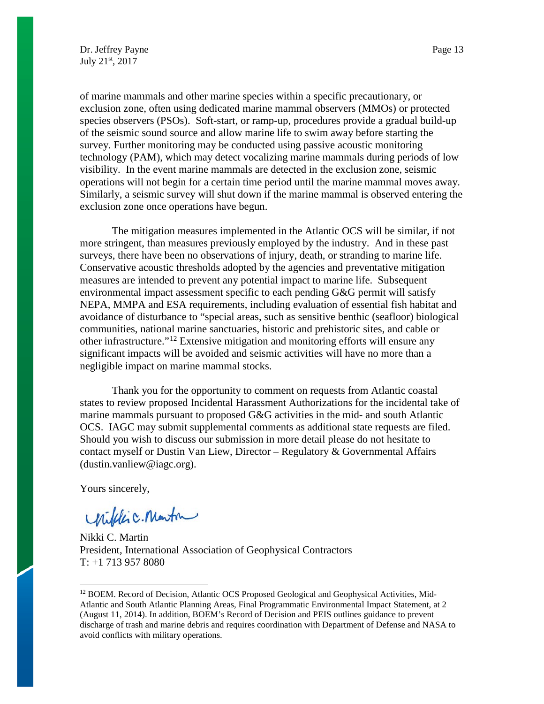of marine mammals and other marine species within a specific precautionary, or exclusion zone, often using dedicated marine mammal observers (MMOs) or protected species observers (PSOs). Soft-start, or ramp-up, procedures provide a gradual build-up of the seismic sound source and allow marine life to swim away before starting the survey. Further monitoring may be conducted using passive acoustic monitoring technology (PAM), which may detect vocalizing marine mammals during periods of low visibility. In the event marine mammals are detected in the exclusion zone, seismic operations will not begin for a certain time period until the marine mammal moves away. Similarly, a seismic survey will shut down if the marine mammal is observed entering the exclusion zone once operations have begun.

The mitigation measures implemented in the Atlantic OCS will be similar, if not more stringent, than measures previously employed by the industry. And in these past surveys, there have been no observations of injury, death, or stranding to marine life. Conservative acoustic thresholds adopted by the agencies and preventative mitigation measures are intended to prevent any potential impact to marine life. Subsequent environmental impact assessment specific to each pending G&G permit will satisfy NEPA, MMPA and ESA requirements, including evaluation of essential fish habitat and avoidance of disturbance to "special areas, such as sensitive benthic (seafloor) biological communities, national marine sanctuaries, historic and prehistoric sites, and cable or other infrastructure."[12](#page-12-0) Extensive mitigation and monitoring efforts will ensure any significant impacts will be avoided and seismic activities will have no more than a negligible impact on marine mammal stocks.

Thank you for the opportunity to comment on requests from Atlantic coastal states to review proposed Incidental Harassment Authorizations for the incidental take of marine mammals pursuant to proposed G&G activities in the mid- and south Atlantic OCS. IAGC may submit supplemental comments as additional state requests are filed. Should you wish to discuss our submission in more detail please do not hesitate to contact myself or Dustin Van Liew, Director – Regulatory  $\&$  Governmental Affairs (dustin.vanliew@iagc.org).

Yours sincerely,

Unifilic. Martin

Nikki C. Martin President, International Association of Geophysical Contractors T: +1 713 957 8080

<span id="page-12-0"></span><sup>&</sup>lt;sup>12</sup> BOEM. Record of Decision, Atlantic OCS Proposed Geological and Geophysical Activities, Mid-Atlantic and South Atlantic Planning Areas, Final Programmatic Environmental Impact Statement, at 2 (August 11, 2014). In addition, BOEM's Record of Decision and PEIS outlines guidance to prevent discharge of trash and marine debris and requires coordination with Department of Defense and NASA to avoid conflicts with military operations.